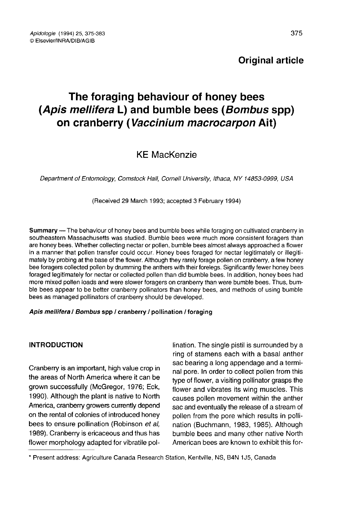# The foraging behaviour of honey bees (Apis mellifera L) and bumble bees (Bombus spp) on cranberry (Vaccinium macrocarpon Ait)

## KE MacKenzie

Department of Entomology, Comstock Hall, Cornell University, Ithaca, NY 14853-0999, USA

(Received 29 March 1993; accepted 3 February 1994)

Summary — The behaviour of honey bees and bumble bees while foraging on cultivated cranberry in southeastern Massachusetts was studied. Bumble bees were much more consistent foragers than are honey bees. Whether collecting nectar or pollen, bumble bees almost always approached a flower in a manner that pollen transfer could occur. Honey bees foraged for nectar legitimately or illegitimately by probing at the base of the flower. Although they rarely forage pollen on cranberry, a few honey bee foragers collected pollen by drumming the anthers with their forelegs. Significantly fewer honey bees foraged legitimately for nectar or collected pollen than did bumble bees. In addition, honey bees had more mixed pollen loads and were slower foragers on cranberry than were bumble bees. Thus, bumble bees appear to be better cranberry pollinators than honey bees, and methods of using bumble bees as managed pollinators of cranberry should be developed.

#### Apis mellifera / Bombus spp / cranberry / pollination / foraging

Cranberry is an important, high value crop in sale bore. In order to collect pollen from this the areas of North America where it can be  $\frac{1}{2}$  the a terminal structure and instance and a terminal structure and a termi the areas of North America where it can be all port of flower, a visiting pollinator grasps the grown successfully (McGregor, 1976; Eck, a flower and vibrates its wing muscles. This grown successfully (McGregor, 1976; Eck, flower and vibrates its wing muscles. This<br>1990). Although the plant is native to North causes pollen movement within the anther 1990). Although the plant is native to North causes pollen movement within the anther<br>America, cranberry growers currently depend sac and eventually the release of a stream of Amenca, cranberry growers currently depend sac and eventually the release of a stream of<br>on the rental of colonies of introduced honey shollen from the pore which results in pollion the rental of colonies of introduced honey bollen from the pore which results in polli-<br>bees to ensure pollination (Robinson *et al,* ation (Buchmann, 1983, 1985), Although 1989). Cranberry is ericaceous and thus has bumble bees and many other native North<br>flower morphology adapted for vibratile pol-<br>American bees are known to exhibit this forflower morphology adapted for vibratile pol-

**INTRODUCTION ination.** The single pistil is surrounded by a ring of stamens each with a basal anther sac bearing a long appendage and a termination (Buchmann, 1983, 1985). Although<br>bumble bees and many other native North

<sup>\*</sup> Present address: Agriculture Canada Research Station, Kentville, NS, B4N 1J5, Canada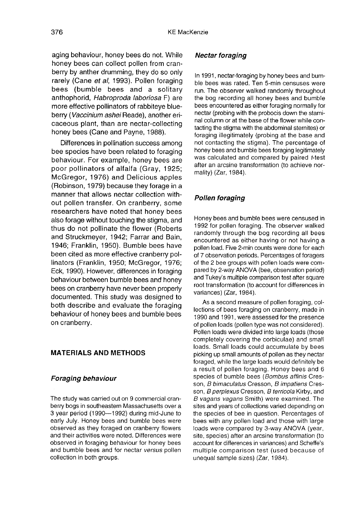aging behaviour, honey bees do not. While honey bees can collect pollen from cranberry by anther drumming, they do so only rarely (Cane et al, 1993). Pollen foraging bees (bumble bees and a solitary anthophorid, Habroproda laboriosa F) are more effective pollinators of rabbiteye blueberry (Vaccinium ashei Reade), another ericaceous plant, than are nectar-collecting honey bees (Cane and Payne, 1988).

Differences in pollination success among bee species have been related to foraging behaviour. For example, honey bees are poor pollinators of alfalfa (Gray, 1925; McGregor, 1976) and Delicious apples (Robinson, 1979) because they forage in a manner that allows nectar collection without pollen transfer. On cranberry, some researchers have noted that honey bees also forage without touching the stigma, and thus do not pollinate the flower (Roberts and Struckmeyer, 1942; Farrar and Bain, 1946; Franklin, 1950). Bumble bees have been cited as more effective cranberry pollinators (Franklin, 1950; McGregor, 1976; Eck, 1990). However, differences in foraging behaviour between bumble bees and honey bees on cranberry have never been properly documented. This study was designed to both describe and evaluate the foraging behaviour of honey bees and bumble bees on cranberry.

#### MATERIALS AND METHODS

#### Foraging behaviour

The study was carried out on 9 commercial cranberry bogs in southeastern Massachusetts over a 3 year period (1990—1992) during mid-June to early July. Honey bees and bumble bees were observed as they foraged on cranberry flowers and their activities were noted. Differences were observed in foraging behaviour for honey bees and bumble bees and for nectar versus pollen collection in both groups.

#### Nectar foraging

In 1991, nectar-foraging by honey bees and bumble bees was rated. Ten 5-min censuses were run. The observer walked randomly throughout the bog recording all honey bees and bumble bees encountered as either foraging normally for nectar (probing with the probocis down the staminal column or at the base of the flower while contacting the stigma with the abdominal sternites) or foraging illegitimately (probing at the base and not contacting the stigma). The percentage of honey bees and bumble bees foraging legitimately was calculated and compared by paired t-test after an arcsine transformation (to achieve normality) (Zar, 1984).

### Pollen foraging

Honey bees and bumble bees were censused in 1992 for pollen foraging. The observer walked randomly through the bog recording all bees encountered as either having or not having a pollen load. Five 2-min counts were done for each of 7 observation periods. Percentages of foragers of the 2 bee groups with pollen loads were compared by 2-way ANOVA (bee, observation period) and Tukey's multiple comparison test after square root transformation (to account for differences in variances) (Zar, 1984).

As a second measure of pollen foraging, collections of bees foraging on cranberry, made in 1990 and 1991, were assessed for the presence of pollen loads (pollen type was not considered). Pollen loads were divided into large loads (those completely covering the corbiculae) and small loads. Small loads could accumulate by bees picking up small amounts of pollen as they nectar foraged, while the large loads would definitely be a result of pollen foraging. Honey bees and 6 species of bumble bees (Bombus affinis Cresson, B bimaculatus Cresson, B impatiens Cresson, B perplexus Cresson, B terricola Kirby, and B vagans vagans Smith) were examined. The sites and years of collections varied depending on the species of bee in question. Percentages of bees with any pollen load and those with large loads were compared by 3-way ANOVA (year, site, species) after an arcsine transformation (to account for differences in variances) and Scheffe's multiple comparison test (used because of unequal sample sizes) (Zar, 1984).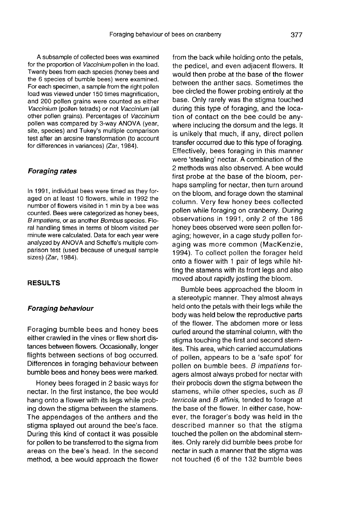A subsample of collected bees was examined for the proportion of Vaccinium pollen in the load. Twenty bees from each species (honey bees and the 6 species of bumble bees) were examined. For each specimen, a sample from the right pollen load was viewed under 150 times magnification, and 200 pollen grains were counted as either Vaccinium (pollen tetrads) or not Vaccinium (all other pollen grains). Percentages of Vaccinium pollen was compared by 3-way ANOVA (year, site, species) and Tukey's multiple comparison test after an arcsine transformation (to account for differences in variances) (Zar, 1984).

#### Foraging rates

In 1991, individual bees were timed as they foraged on at least 10 flowers, while in 1992 the number of flowers visited in 1 min by a bee was<br>counted. Bees were categorized as honey bees, B impatiens, or as another Bombus species. Floral handling times in terms of bloom visited per minute were calculated. Data for each year were analyzed by ANOVA and Scheffe's multiple comparison test (used because of unequal sample sizes) (Zar, 1984).

#### RESULTS

#### Foraging behaviour

Foraging bumble bees and honey bees either crawled in the vines or flew short distances between flowers. Occasionally, longer flights between sections of bog occurred. Differences in foraging behaviour between bumble bees and honey bees were marked.

Honey bees foraged in 2 basic ways for nectar. In the first instance, the bee would hang onto a flower with its legs while probing down the stigma between the stamens. The appendages of the anthers and the stigma splayed out around the bee's face. During this kind of contact it was possible for pollen to be transferred to the sigma from areas on the bee's head. In the second method, a bee would approach the flower

from the back while holding onto the petals, the pedicel, and even adjacent flowers. It would then probe at the base of the flower between the anther sacs. Sometimes the bee circled the flower probing entirely at the base. Only rarely was the stigma touched during this type of foraging, and the location of contact on the bee could be anywhere inclucing the dorsum and the legs. It is unikely that much, if any, direct pollen transfer occurred due to this type of foraging. Effectively, bees foraging in this manner were 'stealing' nectar. A combination of the 2 methods was also observed. A bee would first probe at the base of the bloom, perhaps sampling for nectar, then turn around on the bloom, and forage down the staminal column. Very few honey bees collected pollen while foraging on cranberry. During observations in 1991, only 2 of the 186 honey bees observed were seen pollen foraging; however, in a cage study pollen foraging was more common (MacKenzie, 1994). To collect pollen the forager held onto a flower with 1 pair of legs while hitting the stamens with its front legs and also moved about rapidly jostling the bloom.

Bumble bees approached the bloom in a stereotypic manner. They almost always held onto the petals with their legs while the body was held below the reproductive parts of the flower. The abdomen more or less curled around the staminal column, with the stigma touching the first and second sternites. This area, which carried accumulations of pollen, appears to be a 'safe spot' for pollen on bumble bees. B impatiens foragers almost always probed for nectar with their probocis down the stigma between the stamens, while other species, such as B terricola and B affinis, tended to forage at the base of the flower. In either case, however, the forager's body was held in the described manner so that the stigma touched the pollen on the abdominal sternites. Only rarely did bumble bees probe for nectar in such a manner that the stigma was not touched (6 of the 132 bumble bees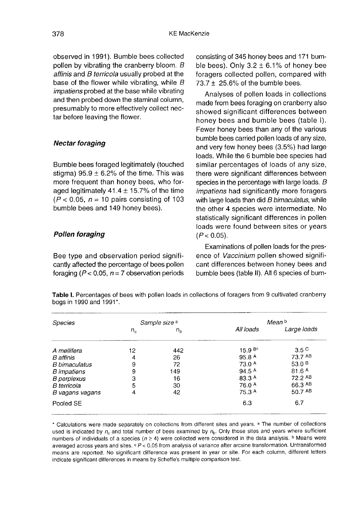observed in 1991). Bumble bees collected pollen by vibrating the cranberry bloom. B affinis and B terricola usually probed at the base of the flower while vibrating, while  $B$ impatiens probed at the base while vibrating and then probed down the staminal column, presumably to more effectively collect nectar before leaving the flower.

#### Nectar foraging

Bumble bees foraged legitimately (touched stigma)  $95.9 \pm 6.2\%$  of the time. This was more frequent than honey bees, who foraged legitimately  $41.4 \pm 15.7\%$  of the time  $(P < 0.05, n = 10$  pairs consisting of 103 bumble bees and 149 honey bees).

#### Pollen foraging

Bee type and observation period significantly affected the percentage of bees pollen foraging ( $P < 0.05$ ,  $n = 7$  observation periods consisting of 345 honey bees and 171 bumble bees). Only  $3.2 \pm 6.1\%$  of honey bee foragers collected pollen, compared with  $73.7 \pm 25.6\%$  of the bumble bees.

Analyses of pollen loads in collections made from bees foraging on cranberry also showed significant differences between honey bees and bumble bees (table I). Fewer honey bees than any of the various bumble bees carried pollen loads of any size, and very few honey bees (3.5%) had large loads. While the 6 bumble bee species had similar percentages of loads of any size, there were significant differences between species in the percentage with large loads.  $B$ impatiens had significantly more foragers with large loads than did B bimaculatus, while the other 4 species were intermediate. No statistically significant differences in pollen loads were found between sites or years  $(P < 0.05)$ .

Examinations of pollen loads for the presence of Vaccinium pollen showed signifi cant differences between honey bees and bumble bees (table II). All 6 species of bum-

Table I. Percentages of bees with pollen loads in collections of foragers from 9 cultivated cranberry bogs in 1990 and 1991\*.

| Species              | Sample size <sup>a</sup> |                | Mean b            |                   |  |
|----------------------|--------------------------|----------------|-------------------|-------------------|--|
|                      | $n_c$                    | n <sub>b</sub> | All loads         | Large loads       |  |
| A mellifera          | 12                       | 442            | 15.9 Bc           | 3.5 <sup>C</sup>  |  |
| B affinis            | 4                        | 26             | 95.8 A            | 73.7 AB           |  |
| <b>B</b> bimaculatus | 9                        | 72             | 73.0 A            | 53.0 $B$          |  |
| <b>B</b> impatiens   | 9                        | 149            | 94.5 <sup>A</sup> | 81.6 <sup>A</sup> |  |
| <b>B</b> perplexus   | 3                        | 16             | 83.3 A            | 72.2 AB           |  |
| B terricola          | 5                        | 30             | 76.0 A            | 66.3 AB           |  |
| B vagans vagans      | 4                        | 42             | 75.3 A            | 50.7 AB           |  |
| Pooled SE            |                          |                | 6.3               | 6.7               |  |

\* Calculations were made separately on collections from different sites and years. a The number of collections used is indicated by  $n_c$  and total number of bees examined by  $n_b$ . Only those sites and years where sufficient numbers of individuals of a species ( $n \ge 4$ ) were collected were considered in the data analysis. <sup>b</sup> Means were averaged across years and sites. c P < 0.05 from analysis of variance after arcsine transformation. Untransformed means are reported. No significant difference was present in year or site. For each column, different letters indicate significant differences in means by Scheffe's multiple comparison test.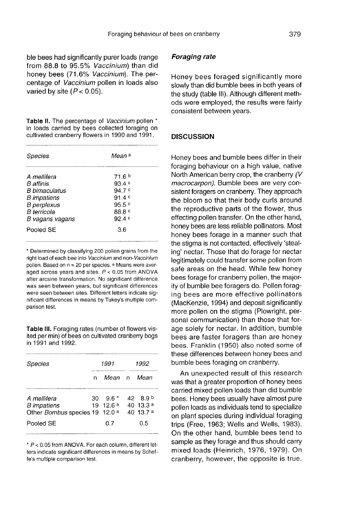ble bees had significantly purer loads (range from 88.8 to 95.5% Vaccinium) than did honey bees (71.6% Vaccinium). The percentage of Vaccinium pollen in loads also varied by site  $(P < 0.05)$ .

Table II. The percentage of Vaccinium pollen \* in loads carried by bees collected foraging on cultivated cranberry flowers in 1990 and 1991.

| Species                                                                                                                               | Mean <sup>a</sup>                                                          |  |  |
|---------------------------------------------------------------------------------------------------------------------------------------|----------------------------------------------------------------------------|--|--|
| A mellifera<br>B affinis<br><i>B himaculatus</i><br>B impatiens<br><b>B</b> perplexus<br><i><b>B</b></i> terricola<br>B vagans vagans | 71.6 <sup>b</sup><br>93.4c<br>94.7 c<br>91.4c<br>95.5c<br>88.8 °<br>92 4 c |  |  |
| Pooled SE                                                                                                                             | 3.6                                                                        |  |  |

\* Determined by classifying 200 pollen grains from the right load of each bee into Vaccinium and non-Vaccinium pollen. Based on  $n = 20$  per species,  $a$  Means were averaged across years and sites.  $P < 0.05$  from ANOVA after arcsine transformation. No significant difference was seen between years, but significant differences were seen between sites. Different letters indicate significant differences in means by Tukey's multiple comparison test.

Table III. Foraging rates (number of flowers visited per min) of bees on cultivated cranberry bogs in 1991 and 1992.

| Species                                                             | 1991 |                     | 1992 |                                                                 |
|---------------------------------------------------------------------|------|---------------------|------|-----------------------------------------------------------------|
|                                                                     | n    | Mean n              |      | Mean                                                            |
| A mellifera<br><b>B</b> impatiens<br>Other Bombus species 19 12.0 a | 30.  | $9.6*$<br>19, 12.6a |      | $42\quad 8.9^{\circ}$<br>40 13.3 <sup>a</sup><br>$40 \, 13.7$ a |
| Pooled SE                                                           |      | 0.7                 |      | 0.5                                                             |

\* P < 0.05 from ANOVA. For each column, different letters indicate significant differences in means by Scheffe's multiple comparison test.

#### Foraging rate

Honey bees foraged significantly more slowly than did bumble bees in both years of the study (table III). Although different methods were employed, the results were fairly consistent between years.

#### **DISCUSSION**

Honey bees and bumble bees differ in their foraging behaviour on a high value, native North American berry crop, the cranberry (V macrocarpon). Bumble bees are very consistent foragers on cranberry. They approach the bloom so that their body curls around the reproductive parts of the flower, thus effecting pollen transfer. On the other hand, honey bees are less reliable pollinators. Most honey bees forage in a manner such that the stigma is not contacted, effectively 'stealing' nectar. Those that do forage for nectar legitimately could transfer some pollen from safe areas on the head. While few honey bees forage for cranberry pollen, the majority of bumble bee foragers do. Pollen foraging bees are more effective pollinators (MacKenzie, 1994) and deposit significantly more pollen on the stigma (Plowright, personal communication) than those that forage solely for nectar. In addition, bumble bees are faster foragers than are honey bees. Franklin (1950) also noted some of these differences between honey bees and bumble bees foraging on cranberry.

An unexpected result of this research was that a greater proportion of honey bees carried mixed pollen loads than did bumble bees. Honey bees usually have almost pure pollen loads as individuals tend to specialize on plant species during individual foraging trips (Free, 1963; Wells and Wells, 1983). On the other hand, bumble bees tend to sample as they forage and thus should carry mixed loads (Heinrich, 1976, 1979). On cranberry, however, the opposite is true.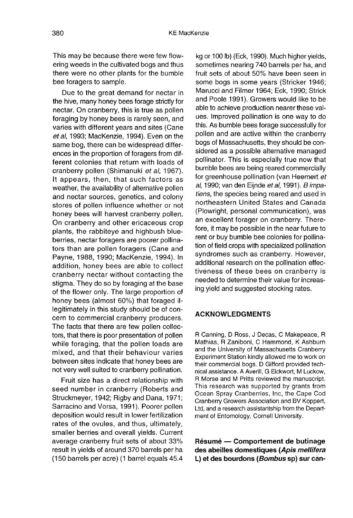This may be because there were few flowering weeds in the cultivated bogs and thus there were no other plants for the bumble bee foragers to sample.

Due to the great demand for nectar in the hive, many honey bees forage strictly for nectar. On cranberry, this is true as pollen foraging by honey bees is rarely seen, and varies with different years and sites (Cane et al, 1993; MacKenzie, 1994). Even on the same bog, there can be widespread differences in the proportion of foragers from different colonies that return with loads of cranberry pollen (Shimanuki et al, 1967). It appears, then, that such factors as weather, the availability of alternative pollen and nectar sources, genetics, and colony stores of pollen influence whether or not honey bees will harvest cranberry pollen. On cranberry and other ericaceous crop plants, the rabbiteye and highbush blueberries, nectar foragers are poorer pollina tors than are pollen foragers (Cane and Payne, 1988, 1990; MacKenzie, 1994). In addition, honey bees are able to collect cranberry nectar without contacting the stigma. They do so by foraging at the base of the flower only. The large proportion of honey bees (almost 60%) that foraged illegitimately in this study should be of concern to commercial cranberry producers. The facts that there are few pollen collectors, that there is poor presentation of pollen while foraging, that the pollen loads are mixed, and that their behaviour varies between sites indicate that honey bees are not very well suited to cranberry pollination.

Fruit size has a direct relationship with seed number in cranberry (Roberts and Struckmeyer, 1942; Rigby and Dana, 1971; Sarracino and Vorsa, 1991). Poorer pollen deposition would result in lower fertilization rates of the ovules, and thus, ultimately, smaller berries and overall yields. Current average cranberry fruit sets of about 33% result in yields of around 370 barrels per ha (150 barrels per acre) (1 barrel equals 45.4 kg or 100 lb) (Eck, 1990). Much higher yields, sometimes nearing 740 barrels per ha, and fruit sets of about 50% have been seen in some bogs in some years (Stricker 1946; Marucci and Filmer 1964; Eck, 1990; Strick and Poole 1991). Growers would like to be able to achieve production nearer these values. Improved pollination is one way to do this. As bumble bees forage successfully for pollen and are active within the cranberry bogs of Massachusetts, they should be considered as a possible alternative managed pollinator. This is especially true now that bumble bees are being reared commercially for greenhouse pollination (van Heemert et al, 1990; van den Eijnde et al, 1991). B impatiens, the species being reared and used in northeastern United States and Canada (Plowright, personal communication), was an excellent forager on cranberry. Therefore, it may be possible in the near future to rent or buy bumble bee colonies for pollination of field crops with specialized pollination syndromes such as cranberry. However, additional research on the pollination effectiveness of these bees on cranberry is needed to determine their value for increasing yield and suggested stocking rates.

#### ACKNOWLEDGMENTS

R Canning, D Ross, J Decas, C Makepeace, R Mathias, R Zaniboni, C Hammond, K Ashburn and the University of Massachusetts Cranberry Experiment Station kindly allowed me to work on their commercial bogs. D Gifford provided technical assistance. A Averill, G Eickwort, M Luckow, R Morse and M Pritts reviewed the manuscript. This research was supported by grants from Ocean Spray Cranberries, Inc, the Cape Cod Cranberry Growers Association and BV Koppert, Ltd, and a research assistantship from the Depart ment of Entomology, Cornell University.

Résumé — Comportement de butinage des abeilles domestiques (Apis mellifera L) et des bourdons (Bombus sp) sur can-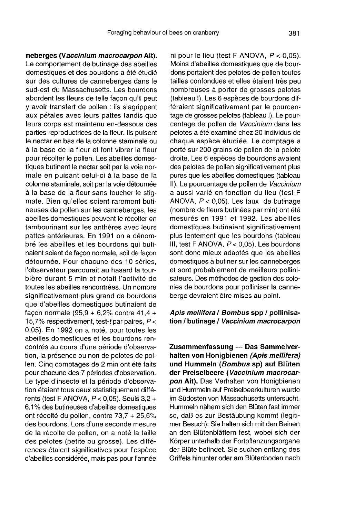neberges (Vaccinium macrocarpon Ait). Le comportement de butinage des abeilles domestiques et des bourdons a été étudié sur des cultures de canneberges dans le sud-est du Massachusetts. Les bourdons abordent les fleurs de telle façon qu'il peut y avoir transfert de pollen : ils s'agrippent aux pétales avec leurs pattes tandis que leurs corps est maintenu en-dessous des parties reproductrices de la fleur. Ils puisent le nectar en bas de la colonne staminale ou à la base de la fleur et font vibrer la fleur pour récolter le pollen. Les abeilles domestiques butinent le nectar soit par la voie normale en puisant celui-ci à la base de la colonne staminale, soit par la voie détournée à la base de la fleur sans toucher le stigmate. Bien qu'elles soient rarement butineuses de pollen sur les canneberges, les abeilles domestiques peuvent le récolter en tambourinant sur les anthères avec leurs pattes antérieures. En 1991 on a dénombré les abeilles et les bourdons qui butinaient soient de façon normale, soit de façon détournée. Pour chacune des 10 séries, l'observateur parcourait au hasard la tourbière durant 5 min et notait l'activité de toutes les abeilles rencontrées. Un nombre significativement plus grand de bourdons que d'abeilles domestiques butinaient de facon normale (95.9 + 6.2% contre  $41.4 +$ 15,7% respectivement, test-t par paires,  $P <$ 0,05). En 1992 on a noté, pour toutes les abeilles domestiques et les bourdons rencontrés au cours d'une période d'observation, la présence ou non de pelotes de pollen. Cinq comptages de 2 min ont été faits pour chacune des 7 périodes d'observation. Le type d'insecte et la période d'observation étaient tous deux statistiquement différents (test F ANOVA,  $P < 0.05$ ). Seuls  $3.2 +$ 6,1 % des butineuses d'abeilles domestiques ont récolté du pollen, contre 73,7 + 25,6% des bourdons. Lors d'une seconde mesure de la récolte de pollen, on a noté la taille des pelotes (petite ou grosse). Les différences étaient significatives pour l'espèce d'abeilles considérée, mais pas pour l'année

ni pour le lieu (test F ANOVA,  $P < 0.05$ ). Moins d'abeilles domestiques que de bourdons portaient des pelotes de pollen toutes tailles confondues et elles étaient très peu nombreuses à porter de grosses pelotes (tableau I). Les 6 espèces de bourdons différaient significativement par le pourcentage de grosses pelotes (tableau I). Le pourcentage de pollen de Vaccinium dans les pelotes a été examiné chez 20 individus de chaque espèce étudiée. Le comptage a porté sur 200 grains de pollen de la pelote droite. Les 6 espèces de bourdons avaient des pelotes de pollen significativement plus pures que les abeilles domestiques (tableau II). Le pourcentage de pollen de Vaccinium a aussi varié en fonction du lieu (test F ANOVA, P < 0,05). Les taux de butinage (nombre de fleurs butinées par min) ont été mesurés en 1991 et 1992. Les abeilles domestiques butinaient significativement plus lentement que les bourdons (tableau III, test F ANOVA, P < 0,05). Les bourdons sont donc mieux adaptés que les abeilles domestiques à butiner sur les canneberges et sont probablement de meilleurs pollini sateurs. Des méthodes de gestion des colonies de bourdons pour polliniser la canneberge devraient être mises au point.

#### Apis mellifera / Bombus spp / pollinisation / butinage / Vaccinium macrocarpon

Zusammenfassung — Das Sammelverhalten von Honigbienen (Apis mellifera) und Hummeln (Bombus sp) auf Blüten der Preiselbeere (Vaccinium macrocarpon Ait). Das Verhalten von Honigbienen und Hummeln auf Preiselbeerkulturen wurde im Südosten von Massachusetts untersucht. Hummeln nähern sich den Blüten fast immer so, daß es zur Bestäubung kommt (legiti mer Besuch): Sie halten sich mit den Beinen an den Blütenblättern fest, wobei sich der Körper unterhalb der Fortpflanzungsorgane der Blüte befindet. Sie suchen entlang des Griffels hinunter oder am Blütenboden nach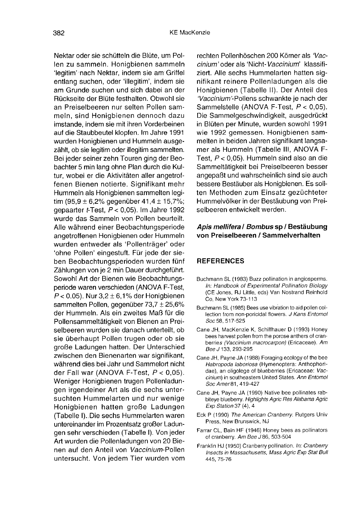Nektar oder sie schütteln die Blüte, um Pollen zu sammeln. Honigbienen sammeln 'legitim' nach Nektar, indem sie am Griffel entlang suchen, oder 'illegitim', indem sie am Grunde suchen und sich dabei an der Rückseite der Blüte festhalten. Obwohl sie an Preiselbeeren nur selten Pollen sammeln, sind Honigbienen dennoch dazu imstande, indem sie mit ihren Vorderbeinen auf die Staubbeutel klopfen. Im Jahre 1991 wurden Honigbienen und Hummeln ausgezählt, ob sie legitim oder illegitim sammelten. Bei jeder seiner zehn Touren ging der Beobachter 5 min lang ohne Plan durch die Kultur, wobei er die Aktivitäten aller angetroffenen Bienen notierte. Signifikant mehr Hummeln als Honigbienen sammelten legitim (95,9  $\pm$  6,2% gegenüber 41,4  $\pm$  15,7%; gepaarter t-Test, P < 0,05). Im Jahre 1992 wurde das Sammeln von Pollen beurteilt. Alle während einer Beobachtungsperiode angetroffenen Honigbienen oder Hummeln wurden entweder als 'Pollenträger' oder 'ohne Pollen' eingestuft. Für jede der sieben Beobachtungsperioden wurden fünf Zählungen von je 2 min Dauer durchgeführt. Sowohl Art der Bienen wie Beobachtungsperiode waren verschieden (ANOVA F-Test,  $P < 0.05$ ). Nur  $3.2 \pm 6.1\%$  der Honigbienen sammelten Pollen, gegenüber 73,7 ± 25,6% der Hummeln. Als ein zweites Maß für die Pollensammeltätigkeit von Bienen an Preiselbeeren wurden sie danach unterteilt, ob sie überhaupt Pollen trugen oder ob sie große Ladungen hatten. Der Unterschied zwischen den Bienenarten war signifikant, während dies bei Jahr und Sammelort nicht der Fall war (ANOVA F-Test, P < 0,05). Weniger Honigbienen trugen Pollenladungen irgendeiner Art als die sechs untersuchten Hummelarten und nur wenige Honigbienen hatten große Ladungen (Tabelle I). Die sechs Hummelarten waren untereinander im Prozentsatz großer Ladungen sehr verschieden (Tabelle I). Von jeder Art wurden die Pollenladungen von 20 Bienen auf den Anteil von Vaccinium-Pollen untersucht. Von jedem Tier wurden vom rechten Pollenhöschen 200 Körner als 'Vaccinium'oder als 'Nicht-Vaccinium' klassifiziert. Alle sechs Hummelarten hatten signifikant reinere Pollenladungen als die Honigbienen (Tabelle II). Der Anteil des 'Vaccinium'-Pollens schwankte je nach der Sammelstelle (ANOVA F-Test, P < 0,05). Die Sammelgeschwindigkeit, ausgedrückt in Blüten per Minute, wurden sowohl 1991 wie 1992 gemessen. Honigbienen sam-<br>melten in beiden Jahren signifikant langsamer als Hummeln (Tabelle III, ANOVA F-Test,  $P < 0.05$ ). Hummeln sind also an die Sammeltätigkeit bei Preiselbeeren besser angepaßt und wahrscheinlich sind sie auch bessere Bestäuber als Honigbienen. Es sollten Methoden zum Einsatz gezüchteter Hummelvölker in der Bestäubung von Preiselbeeren entwickelt werden.

#### Apis mellifera / Bombus sp / Bestäubung von Preiselbeeren / Sammelverhalten

#### **REFERENCES**

- Buchmann SL (1983) Buzz pollination in angiosperms. In: Handbook of Experimental Pollination Biology (CE Jones, RJ Little, eds) Van Nostrand Reinhold Co, New York 73-113
- Buchmann SL (1985) Bees use vibration to aid pollen collection from non-poricidal flowers. J Kans Entomol Soc 58, 517-525
- Cane JH, MacKenzie K, Schiffhauer D (1993) Honey bees harvest pollen from the porose anthers of cranberries (Vaccinium macrocarpon) (Ericaceae). Am Bee J 133, 293-295
- Cane JH, Payne JA (1988) Foraging ecology of the bee Habropoda laboriosa (Hymenoptera: Anthophoridae), an oligolege of blueberries (Ericaceae: Vaccinium) in southeastern United States. Ann Entomol Soc Amer 81, 419-427
- Cane JH, Payne JA (1990) Native bee pollinates rabbiteye blueberry. Highlights Agric Res Alabama Agric Exp Station 37 (4), 4
- Eck P (1990) The American Cranberry. Rutgers Univ Press, New Brunswick, NJ
- Farrar CL, Bain HF (1946) Honey bees as pollinators of cranberry. Am Bee J 86, 503-504
- Franklin HJ (1950) Cranberry pollination. In: Cranberry Insects in Massachusetts, Mass Agric Exp Stat Bull 445, 75-76